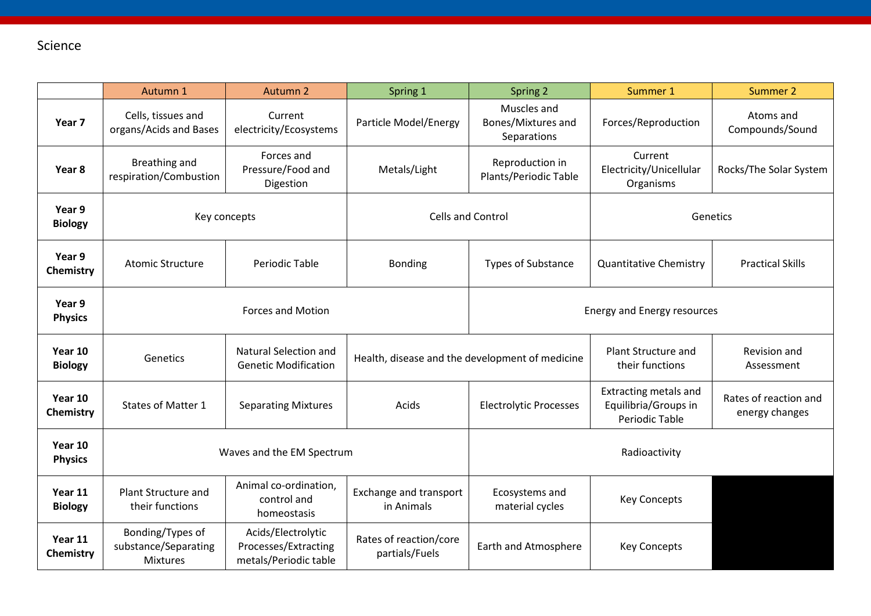## Science

|                           | Autumn 1                                                    | Autumn 2                                                            | Spring 1                                        | Spring 2                                         | Summer 1                                                               | Summer 2                                |  |
|---------------------------|-------------------------------------------------------------|---------------------------------------------------------------------|-------------------------------------------------|--------------------------------------------------|------------------------------------------------------------------------|-----------------------------------------|--|
| Year 7                    | Cells, tissues and<br>organs/Acids and Bases                | Current<br>electricity/Ecosystems                                   | Particle Model/Energy                           | Muscles and<br>Bones/Mixtures and<br>Separations | Forces/Reproduction                                                    | Atoms and<br>Compounds/Sound            |  |
| Year 8                    | Breathing and<br>respiration/Combustion                     | Forces and<br>Pressure/Food and<br>Digestion                        | Metals/Light                                    | Reproduction in<br>Plants/Periodic Table         | Current<br>Electricity/Unicellular<br>Organisms                        | Rocks/The Solar System                  |  |
| Year 9<br><b>Biology</b>  | Key concepts                                                |                                                                     | <b>Cells and Control</b>                        |                                                  | Genetics                                                               |                                         |  |
| Year 9<br>Chemistry       | <b>Atomic Structure</b>                                     | Periodic Table                                                      | <b>Bonding</b>                                  | <b>Types of Substance</b>                        | <b>Quantitative Chemistry</b>                                          | <b>Practical Skills</b>                 |  |
| Year 9<br><b>Physics</b>  | <b>Forces and Motion</b>                                    |                                                                     |                                                 | Energy and Energy resources                      |                                                                        |                                         |  |
| Year 10<br><b>Biology</b> | Genetics                                                    | Natural Selection and<br><b>Genetic Modification</b>                | Health, disease and the development of medicine |                                                  | <b>Plant Structure and</b><br>their functions                          | Revision and<br>Assessment              |  |
| Year 10<br>Chemistry      | <b>States of Matter 1</b>                                   | <b>Separating Mixtures</b>                                          | Acids                                           | <b>Electrolytic Processes</b>                    | <b>Extracting metals and</b><br>Equilibria/Groups in<br>Periodic Table | Rates of reaction and<br>energy changes |  |
| Year 10<br><b>Physics</b> | Waves and the EM Spectrum                                   |                                                                     |                                                 | Radioactivity                                    |                                                                        |                                         |  |
| Year 11<br><b>Biology</b> | Plant Structure and<br>their functions                      | Animal co-ordination,<br>control and<br>homeostasis                 | Exchange and transport<br>in Animals            | Ecosystems and<br>material cycles                | <b>Key Concepts</b>                                                    |                                         |  |
| Year 11<br>Chemistry      | Bonding/Types of<br>substance/Separating<br><b>Mixtures</b> | Acids/Electrolytic<br>Processes/Extracting<br>metals/Periodic table | Rates of reaction/core<br>partials/Fuels        | Earth and Atmosphere                             | <b>Key Concepts</b>                                                    |                                         |  |